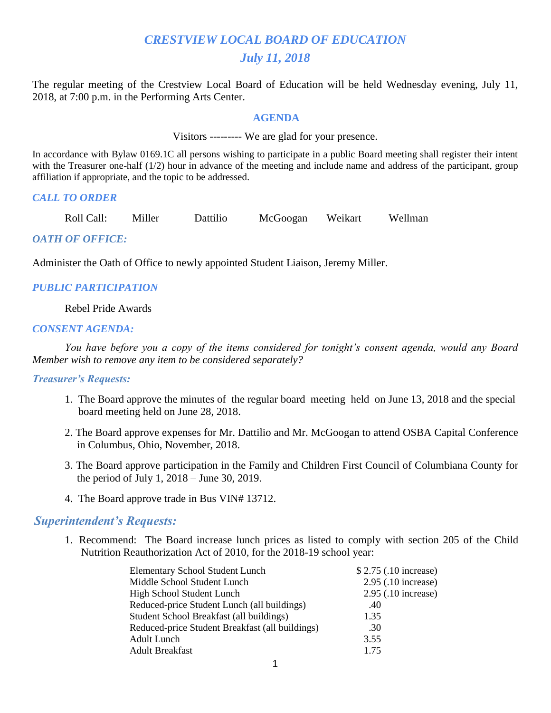# *CRESTVIEW LOCAL BOARD OF EDUCATION July 11, 2018*

The regular meeting of the Crestview Local Board of Education will be held Wednesday evening, July 11, 2018, at 7:00 p.m. in the Performing Arts Center.

#### **AGENDA**

Visitors --------- We are glad for your presence.

In accordance with Bylaw 0169.1C all persons wishing to participate in a public Board meeting shall register their intent with the Treasurer one-half (1/2) hour in advance of the meeting and include name and address of the participant, group affiliation if appropriate, and the topic to be addressed.

#### *CALL TO ORDER*

Roll Call: Miller Dattilio McGoogan Weikart Wellman

## *OATH OF OFFICE:*

Administer the Oath of Office to newly appointed Student Liaison, Jeremy Miller.

## *PUBLIC PARTICIPATION*

#### Rebel Pride Awards

#### *CONSENT AGENDA:*

 *You have before you a copy of the items considered for tonight's consent agenda, would any Board Member wish to remove any item to be considered separately?*

#### *Treasurer's Requests:*

- 1. The Board approve the minutes of the regular board meeting held on June 13, 2018 and the special board meeting held on June 28, 2018.
- 2. The Board approve expenses for Mr. Dattilio and Mr. McGoogan to attend OSBA Capital Conference in Columbus, Ohio, November, 2018.
- 3. The Board approve participation in the Family and Children First Council of Columbiana County for the period of July 1, 2018 – June 30, 2019.
- 4. The Board approve trade in Bus VIN# 13712.

## *Superintendent's Requests:*

1. Recommend: The Board increase lunch prices as listed to comply with section 205 of the Child Nutrition Reauthorization Act of 2010, for the 2018-19 school year:

| <b>Elementary School Student Lunch</b>          | \$2.75 (.10 increase) |
|-------------------------------------------------|-----------------------|
| Middle School Student Lunch                     | $2.95$ (.10 increase) |
| High School Student Lunch                       | $2.95$ (.10 increase) |
| Reduced-price Student Lunch (all buildings)     | .40                   |
| Student School Breakfast (all buildings)        | 1.35                  |
| Reduced-price Student Breakfast (all buildings) | .30                   |
| Adult Lunch                                     | 3.55                  |
| <b>Adult Breakfast</b>                          | 1 75                  |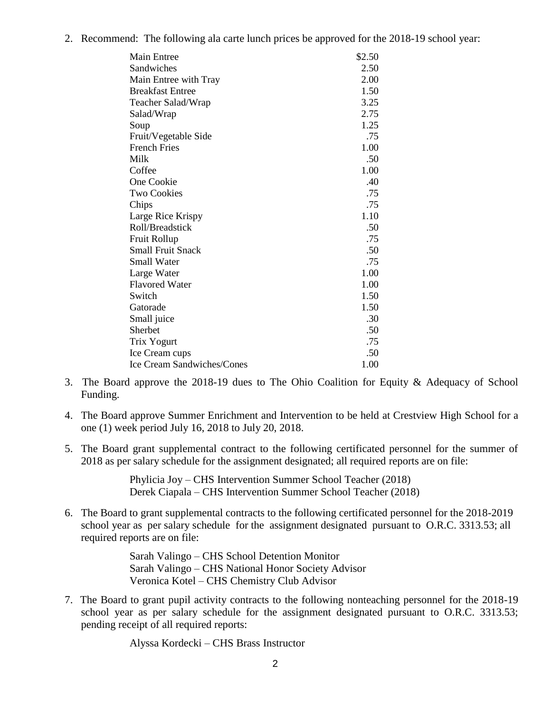2. Recommend: The following ala carte lunch prices be approved for the 2018-19 school year:

| Main Entree                       | \$2.50 |
|-----------------------------------|--------|
| Sandwiches                        | 2.50   |
| Main Entree with Tray             | 2.00   |
| <b>Breakfast Entree</b>           | 1.50   |
| Teacher Salad/Wrap                | 3.25   |
| Salad/Wrap                        | 2.75   |
| Soup                              | 1.25   |
| Fruit/Vegetable Side              | .75    |
| <b>French Fries</b>               | 1.00   |
| Milk                              | .50    |
| Coffee                            | 1.00   |
| One Cookie                        | .40    |
| Two Cookies                       | .75    |
| Chips                             | .75    |
| Large Rice Krispy                 | 1.10   |
| Roll/Breadstick                   | .50    |
| Fruit Rollup                      | .75    |
| <b>Small Fruit Snack</b>          | .50    |
| <b>Small Water</b>                | .75    |
| Large Water                       | 1.00   |
| <b>Flavored Water</b>             | 1.00   |
| Switch                            | 1.50   |
| Gatorade                          | 1.50   |
| Small juice                       | .30    |
| Sherbet                           | .50    |
| Trix Yogurt                       | .75    |
| Ice Cream cups                    | .50    |
| <b>Ice Cream Sandwiches/Cones</b> | 1.00   |

- 3. The Board approve the 2018-19 dues to The Ohio Coalition for Equity & Adequacy of School Funding.
- 4. The Board approve Summer Enrichment and Intervention to be held at Crestview High School for a one (1) week period July 16, 2018 to July 20, 2018.
- 5. The Board grant supplemental contract to the following certificated personnel for the summer of 2018 as per salary schedule for the assignment designated; all required reports are on file:

Phylicia Joy – CHS Intervention Summer School Teacher (2018) Derek Ciapala – CHS Intervention Summer School Teacher (2018)

6. The Board to grant supplemental contracts to the following certificated personnel for the 2018-2019 school year as per salary schedule for the assignment designated pursuant to O.R.C. 3313.53; all required reports are on file:

> Sarah Valingo – CHS School Detention Monitor Sarah Valingo – CHS National Honor Society Advisor Veronica Kotel – CHS Chemistry Club Advisor

7. The Board to grant pupil activity contracts to the following nonteaching personnel for the 2018-19 school year as per salary schedule for the assignment designated pursuant to O.R.C. 3313.53; pending receipt of all required reports:

Alyssa Kordecki – CHS Brass Instructor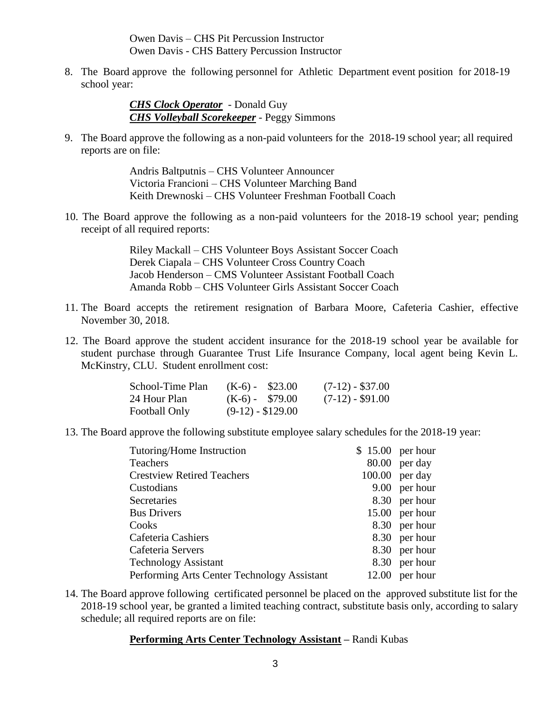Owen Davis – CHS Pit Percussion Instructor Owen Davis - CHS Battery Percussion Instructor

8. The Board approve the following personnel for Athletic Department event position for 2018-19 school year:

> *CHS Clock Operator* - Donald Guy *CHS Volleyball Scorekeeper* - Peggy Simmons

9. The Board approve the following as a non-paid volunteers for the 2018-19 school year; all required reports are on file:

> Andris Baltputnis – CHS Volunteer Announcer Victoria Francioni – CHS Volunteer Marching Band Keith Drewnoski – CHS Volunteer Freshman Football Coach

10. The Board approve the following as a non-paid volunteers for the 2018-19 school year; pending receipt of all required reports:

> Riley Mackall – CHS Volunteer Boys Assistant Soccer Coach Derek Ciapala – CHS Volunteer Cross Country Coach Jacob Henderson – CMS Volunteer Assistant Football Coach Amanda Robb – CHS Volunteer Girls Assistant Soccer Coach

- 11. The Board accepts the retirement resignation of Barbara Moore, Cafeteria Cashier, effective November 30, 2018.
- 12. The Board approve the student accident insurance for the 2018-19 school year be available for student purchase through Guarantee Trust Life Insurance Company, local agent being Kevin L. McKinstry, CLU. Student enrollment cost:

| School-Time Plan | $(K-6) - $23.00$   | $(7-12) - $37.00$ |
|------------------|--------------------|-------------------|
| 24 Hour Plan     | $(K-6) - $79.00$   | $(7-12) - $91.00$ |
| Football Only    | $(9-12) - $129.00$ |                   |

13. The Board approve the following substitute employee salary schedules for the 2018-19 year:

| $$15.00$ per hour |
|-------------------|
| $80.00$ per day   |
| $100.00$ per day  |
| 9.00 per hour     |
| 8.30 per hour     |
| 15.00 per hour    |
| 8.30 per hour     |
| 8.30 per hour     |
| 8.30 per hour     |
| 8.30 per hour     |
| $12.00$ per hour  |
|                   |

14. The Board approve following certificated personnel be placed on the approved substitute list for the 2018-19 school year, be granted a limited teaching contract, substitute basis only, according to salary schedule; all required reports are on file:

## **Performing Arts Center Technology Assistant –** Randi Kubas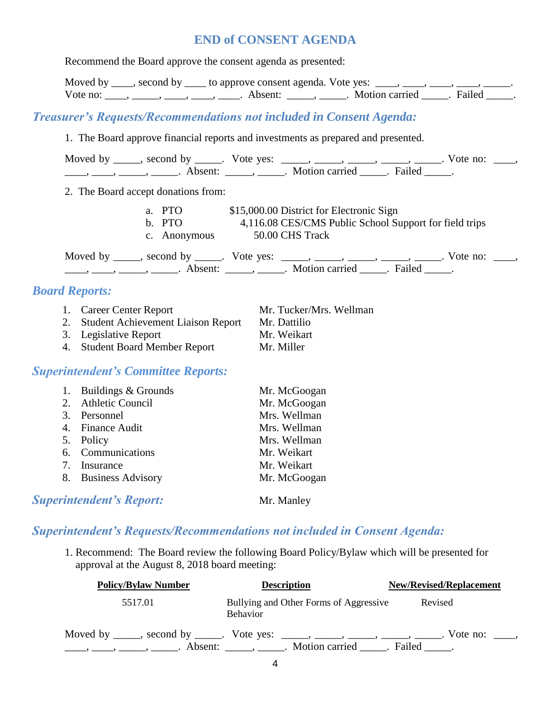# **END of CONSENT AGENDA**

|                       | Recommend the Board approve the consent agenda as presented:                |                                                                                                                                                                                                                                                                                                                                                                                                                                                                                                                           |  |
|-----------------------|-----------------------------------------------------------------------------|---------------------------------------------------------------------------------------------------------------------------------------------------------------------------------------------------------------------------------------------------------------------------------------------------------------------------------------------------------------------------------------------------------------------------------------------------------------------------------------------------------------------------|--|
|                       |                                                                             | Moved by ____, second by ____ to approve consent agenda. Vote yes: ____, ____, ____, ____, _____,                                                                                                                                                                                                                                                                                                                                                                                                                         |  |
|                       |                                                                             | Vote no: _____, _____, _____, _____, Absent: _____, _____. Motion carried _____. Failed _____.                                                                                                                                                                                                                                                                                                                                                                                                                            |  |
|                       | <b>Treasurer's Requests/Recommendations not included in Consent Agenda:</b> |                                                                                                                                                                                                                                                                                                                                                                                                                                                                                                                           |  |
|                       |                                                                             | 1. The Board approve financial reports and investments as prepared and presented.                                                                                                                                                                                                                                                                                                                                                                                                                                         |  |
|                       |                                                                             | Moved by _____, second by _____. Vote yes: _____, _____, _____, _____, _____. Vote no: ____,                                                                                                                                                                                                                                                                                                                                                                                                                              |  |
|                       | 2. The Board accept donations from:                                         |                                                                                                                                                                                                                                                                                                                                                                                                                                                                                                                           |  |
|                       | b. PTO<br>c. Anonymous                                                      | a. PTO \$15,000.00 District for Electronic Sign<br>4,116.08 CES/CMS Public School Support for field trips<br>50.00 CHS Track                                                                                                                                                                                                                                                                                                                                                                                              |  |
|                       |                                                                             | Moved by _____, second by _____. Vote yes: _____, _____, ____, ____, _____. Vote no: ____,<br>$\frac{1}{1}, \frac{1}{1}, \frac{1}{1}, \frac{1}{1}, \frac{1}{1}, \frac{1}{1}, \frac{1}{1}, \frac{1}{1}, \frac{1}{1}, \frac{1}{1}, \frac{1}{1}, \frac{1}{1}, \frac{1}{1}, \frac{1}{1}, \frac{1}{1}, \frac{1}{1}, \frac{1}{1}, \frac{1}{1}, \frac{1}{1}, \frac{1}{1}, \frac{1}{1}, \frac{1}{1}, \frac{1}{1}, \frac{1}{1}, \frac{1}{1}, \frac{1}{1}, \frac{1}{1}, \frac{1}{1}, \frac{1}{1}, \frac{1}{1}, \frac{1}{1}, \frac{$ |  |
| <b>Board Reports:</b> |                                                                             |                                                                                                                                                                                                                                                                                                                                                                                                                                                                                                                           |  |
|                       | 1. Career Center Report                                                     | Mr. Tucker/Mrs. Wellman                                                                                                                                                                                                                                                                                                                                                                                                                                                                                                   |  |
|                       | 2. Student Achievement Liaison Report                                       | Mr. Dattilio                                                                                                                                                                                                                                                                                                                                                                                                                                                                                                              |  |
|                       | 3. Legislative Report                                                       | Mr. Weikart                                                                                                                                                                                                                                                                                                                                                                                                                                                                                                               |  |
|                       | 4. Student Board Member Report                                              | Mr. Miller                                                                                                                                                                                                                                                                                                                                                                                                                                                                                                                |  |
|                       | <b>Superintendent's Committee Reports:</b>                                  |                                                                                                                                                                                                                                                                                                                                                                                                                                                                                                                           |  |
|                       | 1. Buildings & Grounds                                                      | Mr. McGoogan                                                                                                                                                                                                                                                                                                                                                                                                                                                                                                              |  |
|                       | 2. Athletic Council                                                         | Mr. McGoogan                                                                                                                                                                                                                                                                                                                                                                                                                                                                                                              |  |
|                       | 3. Personnel                                                                | Mrs. Wellman                                                                                                                                                                                                                                                                                                                                                                                                                                                                                                              |  |
|                       | 4. Finance Audit                                                            | Mrs. Wellman                                                                                                                                                                                                                                                                                                                                                                                                                                                                                                              |  |
| 5. Policy             |                                                                             | Mrs. Wellman                                                                                                                                                                                                                                                                                                                                                                                                                                                                                                              |  |
|                       | 6. Communications                                                           | Mr. Weikart                                                                                                                                                                                                                                                                                                                                                                                                                                                                                                               |  |
|                       | 7. Insurance                                                                | Mr. Weikart                                                                                                                                                                                                                                                                                                                                                                                                                                                                                                               |  |
|                       | 8. Business Advisory                                                        | Mr. McGoogan                                                                                                                                                                                                                                                                                                                                                                                                                                                                                                              |  |
|                       | <b>Superintendent's Report:</b>                                             | Mr. Manley                                                                                                                                                                                                                                                                                                                                                                                                                                                                                                                |  |

# *Superintendent's Requests/Recommendations not included in Consent Agenda:*

1. Recommend: The Board review the following Board Policy/Bylaw which will be presented for approval at the August 8, 2018 board meeting:

| <b>Policy/Bylaw Number</b> | <b>Description</b>                                                                                                                                            | <b>New/Revised/Replacement</b> |
|----------------------------|---------------------------------------------------------------------------------------------------------------------------------------------------------------|--------------------------------|
| 5517.01                    | Bullying and Other Forms of Aggressive<br><b>Behavior</b>                                                                                                     | Revised                        |
|                            | Moved by _____, second by _____. Vote yes: _____, _____, _____, _____, _____. Vote no: ____,<br>Absent: _____________. Motion carried _______. Failed _______ |                                |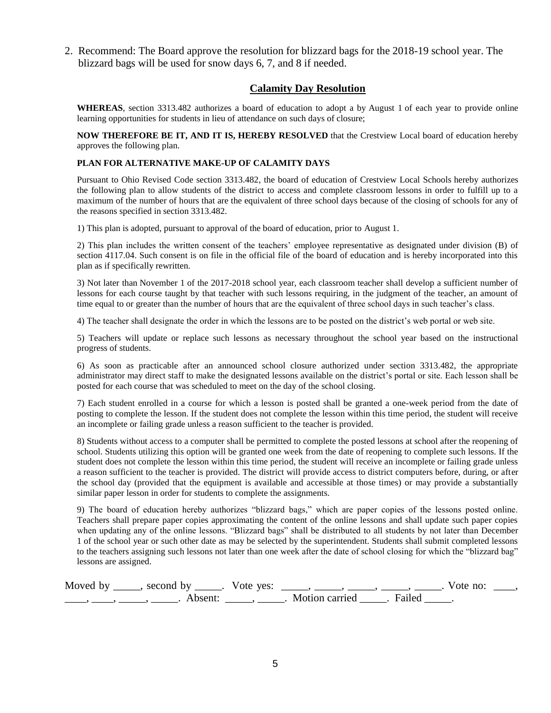2. Recommend: The Board approve the resolution for blizzard bags for the 2018-19 school year. The blizzard bags will be used for snow days 6, 7, and 8 if needed.

### **Calamity Day Resolution**

**WHEREAS**, section 3313.482 authorizes a board of education to adopt a by August 1 of each year to provide online learning opportunities for students in lieu of attendance on such days of closure;

**NOW THEREFORE BE IT, AND IT IS, HEREBY RESOLVED** that the Crestview Local board of education hereby approves the following plan.

#### **PLAN FOR ALTERNATIVE MAKE-UP OF CALAMITY DAYS**

Pursuant to Ohio Revised Code section 3313.482, the board of education of Crestview Local Schools hereby authorizes the following plan to allow students of the district to access and complete classroom lessons in order to fulfill up to a maximum of the number of hours that are the equivalent of three school days because of the closing of schools for any of the reasons specified in section 3313.482.

1) This plan is adopted, pursuant to approval of the board of education, prior to August 1.

2) This plan includes the written consent of the teachers' employee representative as designated under division (B) of section 4117.04. Such consent is on file in the official file of the board of education and is hereby incorporated into this plan as if specifically rewritten.

3) Not later than November 1 of the 2017-2018 school year, each classroom teacher shall develop a sufficient number of lessons for each course taught by that teacher with such lessons requiring, in the judgment of the teacher, an amount of time equal to or greater than the number of hours that are the equivalent of three school days in such teacher's class.

4) The teacher shall designate the order in which the lessons are to be posted on the district's web portal or web site.

5) Teachers will update or replace such lessons as necessary throughout the school year based on the instructional progress of students.

6) As soon as practicable after an announced school closure authorized under section 3313.482, the appropriate administrator may direct staff to make the designated lessons available on the district's portal or site. Each lesson shall be posted for each course that was scheduled to meet on the day of the school closing.

7) Each student enrolled in a course for which a lesson is posted shall be granted a one-week period from the date of posting to complete the lesson. If the student does not complete the lesson within this time period, the student will receive an incomplete or failing grade unless a reason sufficient to the teacher is provided.

8) Students without access to a computer shall be permitted to complete the posted lessons at school after the reopening of school. Students utilizing this option will be granted one week from the date of reopening to complete such lessons. If the student does not complete the lesson within this time period, the student will receive an incomplete or failing grade unless a reason sufficient to the teacher is provided. The district will provide access to district computers before, during, or after the school day (provided that the equipment is available and accessible at those times) or may provide a substantially similar paper lesson in order for students to complete the assignments.

9) The board of education hereby authorizes "blizzard bags," which are paper copies of the lessons posted online. Teachers shall prepare paper copies approximating the content of the online lessons and shall update such paper copies when updating any of the online lessons. "Blizzard bags" shall be distributed to all students by not later than December 1 of the school year or such other date as may be selected by the superintendent. Students shall submit completed lessons to the teachers assigning such lessons not later than one week after the date of school closing for which the "blizzard bag" lessons are assigned.

| Moved by , second by |                     | Vote yes: |                         | Vote no: |  |
|----------------------|---------------------|-----------|-------------------------|----------|--|
|                      | Absent <sup>.</sup> |           | Motion carried . Failed |          |  |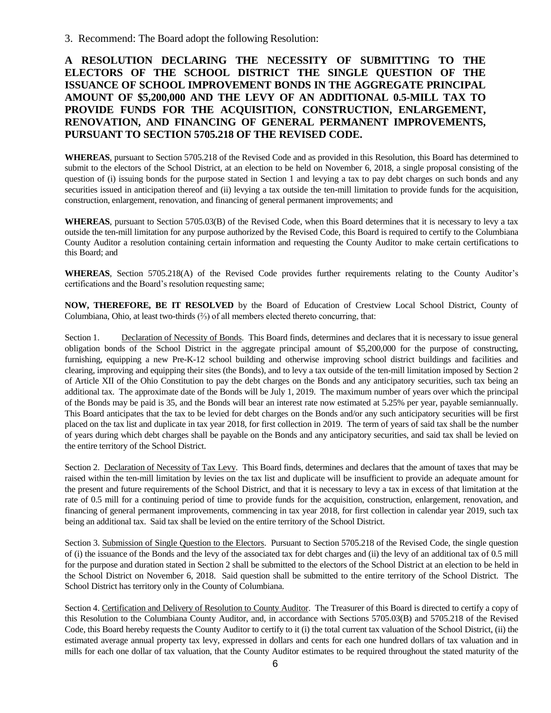3. Recommend: The Board adopt the following Resolution:

**A RESOLUTION DECLARING THE NECESSITY OF SUBMITTING TO THE ELECTORS OF THE SCHOOL DISTRICT THE SINGLE QUESTION OF THE ISSUANCE OF SCHOOL IMPROVEMENT BONDS IN THE AGGREGATE PRINCIPAL AMOUNT OF \$5,200,000 AND THE LEVY OF AN ADDITIONAL 0.5-MILL TAX TO PROVIDE FUNDS FOR THE ACQUISITION, CONSTRUCTION, ENLARGEMENT, RENOVATION, AND FINANCING OF GENERAL PERMANENT IMPROVEMENTS, PURSUANT TO SECTION 5705.218 OF THE REVISED CODE.**

**WHEREAS**, pursuant to Section 5705.218 of the Revised Code and as provided in this Resolution, this Board has determined to submit to the electors of the School District, at an election to be held on November 6, 2018, a single proposal consisting of the question of (i) issuing bonds for the purpose stated in Section 1 and levying a tax to pay debt charges on such bonds and any securities issued in anticipation thereof and (ii) levying a tax outside the ten-mill limitation to provide funds for the acquisition, construction, enlargement, renovation, and financing of general permanent improvements; and

**WHEREAS**, pursuant to Section 5705.03(B) of the Revised Code, when this Board determines that it is necessary to levy a tax outside the ten-mill limitation for any purpose authorized by the Revised Code, this Board is required to certify to the Columbiana County Auditor a resolution containing certain information and requesting the County Auditor to make certain certifications to this Board; and

**WHEREAS**, Section 5705.218(A) of the Revised Code provides further requirements relating to the County Auditor's certifications and the Board's resolution requesting same;

**NOW, THEREFORE, BE IT RESOLVED** by the Board of Education of Crestview Local School District, County of Columbiana, Ohio, at least two-thirds (⅔) of all members elected thereto concurring, that:

Section 1. Declaration of Necessity of Bonds. This Board finds, determines and declares that it is necessary to issue general obligation bonds of the School District in the aggregate principal amount of \$5,200,000 for the purpose of constructing, furnishing, equipping a new Pre-K-12 school building and otherwise improving school district buildings and facilities and clearing, improving and equipping their sites (the Bonds), and to levy a tax outside of the ten-mill limitation imposed by Section 2 of Article XII of the Ohio Constitution to pay the debt charges on the Bonds and any anticipatory securities, such tax being an additional tax. The approximate date of the Bonds will be July 1, 2019. The maximum number of years over which the principal of the Bonds may be paid is 35, and the Bonds will bear an interest rate now estimated at 5.25% per year, payable semiannually. This Board anticipates that the tax to be levied for debt charges on the Bonds and/or any such anticipatory securities will be first placed on the tax list and duplicate in tax year 2018, for first collection in 2019. The term of years of said tax shall be the number of years during which debt charges shall be payable on the Bonds and any anticipatory securities, and said tax shall be levied on the entire territory of the School District.

Section 2. Declaration of Necessity of Tax Levy. This Board finds, determines and declares that the amount of taxes that may be raised within the ten-mill limitation by levies on the tax list and duplicate will be insufficient to provide an adequate amount for the present and future requirements of the School District, and that it is necessary to levy a tax in excess of that limitation at the rate of 0.5 mill for a continuing period of time to provide funds for the acquisition, construction, enlargement, renovation, and financing of general permanent improvements, commencing in tax year 2018, for first collection in calendar year 2019, such tax being an additional tax. Said tax shall be levied on the entire territory of the School District.

Section 3. Submission of Single Question to the Electors. Pursuant to Section 5705.218 of the Revised Code, the single question of (i) the issuance of the Bonds and the levy of the associated tax for debt charges and (ii) the levy of an additional tax of 0.5 mill for the purpose and duration stated in Section 2 shall be submitted to the electors of the School District at an election to be held in the School District on November 6, 2018. Said question shall be submitted to the entire territory of the School District. The School District has territory only in the County of Columbiana.

Section 4. Certification and Delivery of Resolution to County Auditor. The Treasurer of this Board is directed to certify a copy of this Resolution to the Columbiana County Auditor, and, in accordance with Sections 5705.03(B) and 5705.218 of the Revised Code, this Board hereby requests the County Auditor to certify to it (i) the total current tax valuation of the School District, (ii) the estimated average annual property tax levy, expressed in dollars and cents for each one hundred dollars of tax valuation and in mills for each one dollar of tax valuation, that the County Auditor estimates to be required throughout the stated maturity of the